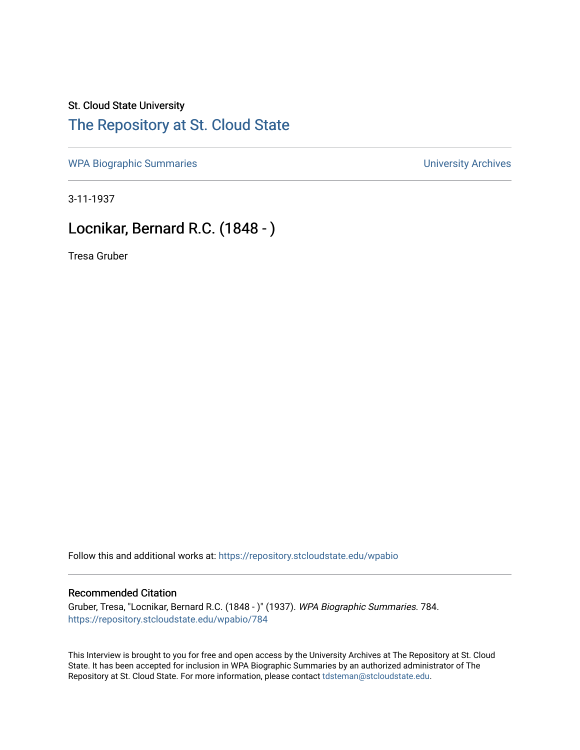## St. Cloud State University

## [The Repository at St. Cloud State](https://repository.stcloudstate.edu/)

[WPA Biographic Summaries](https://repository.stcloudstate.edu/wpabio) **WPA Biographic Summaries University Archives** 

3-11-1937

## Locnikar, Bernard R.C. (1848 - )

Tresa Gruber

Follow this and additional works at: [https://repository.stcloudstate.edu/wpabio](https://repository.stcloudstate.edu/wpabio?utm_source=repository.stcloudstate.edu%2Fwpabio%2F784&utm_medium=PDF&utm_campaign=PDFCoverPages) 

## Recommended Citation

Gruber, Tresa, "Locnikar, Bernard R.C. (1848 - )" (1937). WPA Biographic Summaries. 784. [https://repository.stcloudstate.edu/wpabio/784](https://repository.stcloudstate.edu/wpabio/784?utm_source=repository.stcloudstate.edu%2Fwpabio%2F784&utm_medium=PDF&utm_campaign=PDFCoverPages) 

This Interview is brought to you for free and open access by the University Archives at The Repository at St. Cloud State. It has been accepted for inclusion in WPA Biographic Summaries by an authorized administrator of The Repository at St. Cloud State. For more information, please contact [tdsteman@stcloudstate.edu.](mailto:tdsteman@stcloudstate.edu)